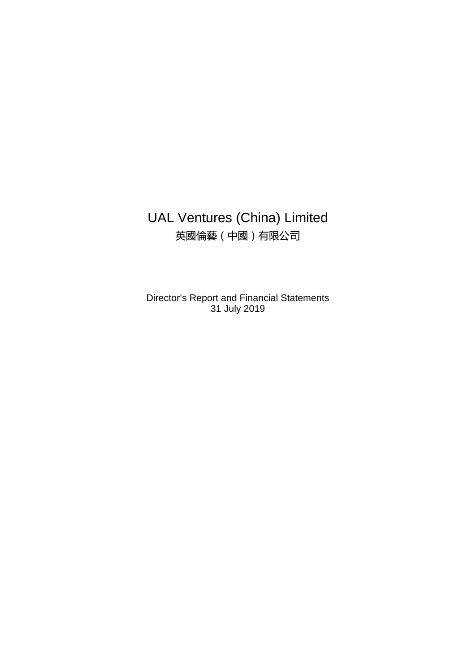# UAL Ventures (China) Limited 英國倫藝(中國)有限公司

Director's Report and Financial Statements 31 July 2019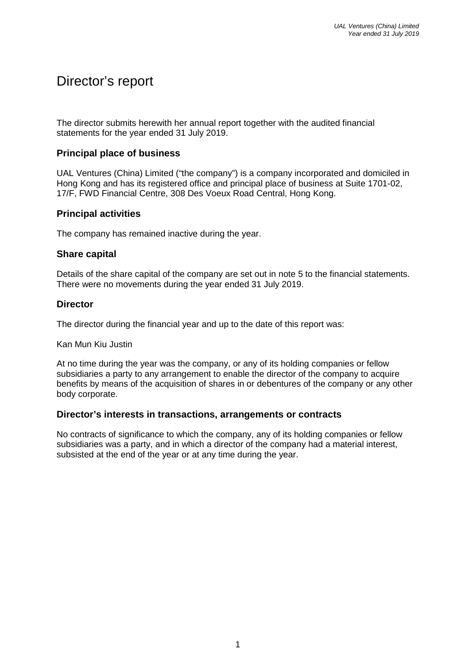# Director's report

The director submits herewith her annual report together with the audited financial statements for the year ended 31 July 2019.

#### **Principal place of business**

UAL Ventures (China) Limited ("the company") is a company incorporated and domiciled in Hong Kong and has its registered office and principal place of business at Suite 1701-02, 17/F, FWD Financial Centre, 308 Des Voeux Road Central, Hong Kong.

#### **Principal activities**

The company has remained inactive during the year.

#### **Share capital**

Details of the share capital of the company are set out in note 5 to the financial statements. There were no movements during the year ended 31 July 2019.

#### **Director**

The director during the financial year and up to the date of this report was:

Kan Mun Kiu Justin

At no time during the year was the company, or any of its holding companies or fellow subsidiaries a party to any arrangement to enable the director of the company to acquire benefits by means of the acquisition of shares in or debentures of the company or any other body corporate.

#### **Director's interests in transactions, arrangements or contracts**

No contracts of significance to which the company, any of its holding companies or fellow subsidiaries was a party, and in which a director of the company had a material interest, subsisted at the end of the year or at any time during the year.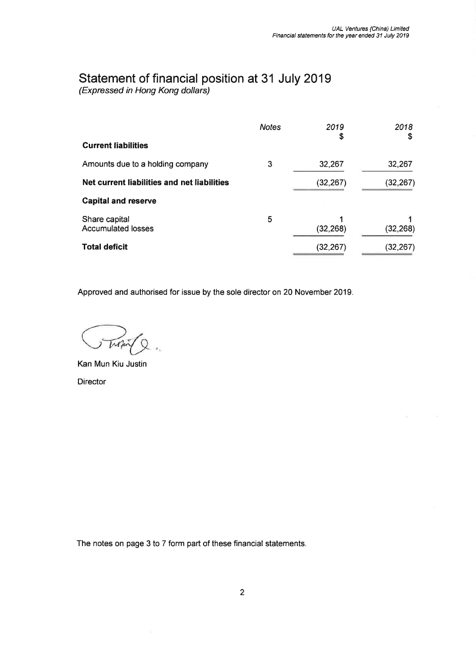# Statement of financial position at 31 July 2019<br>(Expressed in Hong Kong dollars)

|                                             | <b>Notes</b> | 2019<br>\$ | 2018<br>S |
|---------------------------------------------|--------------|------------|-----------|
| <b>Current liabilities</b>                  |              |            |           |
| Amounts due to a holding company            | 3            | 32,267     | 32,267    |
| Net current liabilities and net liabilities |              | (32, 267)  | (32, 267) |
| <b>Capital and reserve</b>                  |              |            |           |
| Share capital<br><b>Accumulated losses</b>  | 5            | (32, 268)  | (32, 268) |
| <b>Total deficit</b>                        |              | (32, 267)  | (32,267)  |

Approved and authorised for issue by the sole director on 20 November 2019.

Tropin Q

Kan Mun Kiu Justin **Director** 

The notes on page 3 to 7 form part of these financial statements.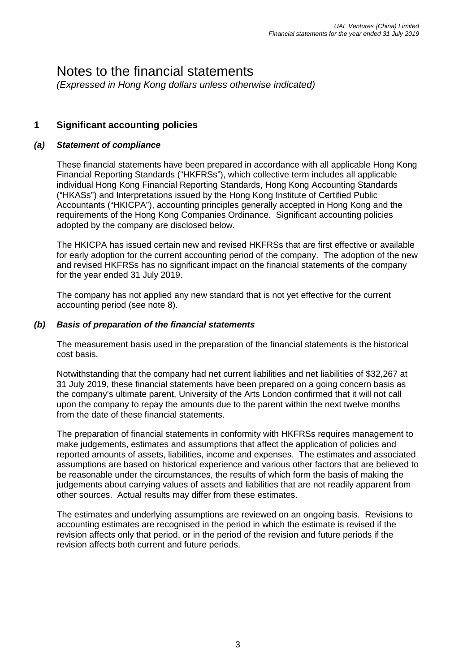# Notes to the financial statements

*(Expressed in Hong Kong dollars unless otherwise indicated)* 

## **1 Significant accounting policies**

#### *(a) Statement of compliance*

These financial statements have been prepared in accordance with all applicable Hong Kong Financial Reporting Standards ("HKFRSs"), which collective term includes all applicable individual Hong Kong Financial Reporting Standards, Hong Kong Accounting Standards ("HKASs") and Interpretations issued by the Hong Kong Institute of Certified Public Accountants ("HKICPA"), accounting principles generally accepted in Hong Kong and the requirements of the Hong Kong Companies Ordinance. Significant accounting policies adopted by the company are disclosed below.

The HKICPA has issued certain new and revised HKFRSs that are first effective or available for early adoption for the current accounting period of the company. The adoption of the new and revised HKFRSs has no significant impact on the financial statements of the company for the year ended 31 July 2019.

The company has not applied any new standard that is not yet effective for the current accounting period (see note 8).

#### *(b) Basis of preparation of the financial statements*

The measurement basis used in the preparation of the financial statements is the historical cost basis.

Notwithstanding that the company had net current liabilities and net liabilities of \$32,267 at 31 July 2019, these financial statements have been prepared on a going concern basis as the company's ultimate parent, University of the Arts London confirmed that it will not call upon the company to repay the amounts due to the parent within the next twelve months from the date of these financial statements.

The preparation of financial statements in conformity with HKFRSs requires management to make judgements, estimates and assumptions that affect the application of policies and reported amounts of assets, liabilities, income and expenses. The estimates and associated assumptions are based on historical experience and various other factors that are believed to be reasonable under the circumstances, the results of which form the basis of making the judgements about carrying values of assets and liabilities that are not readily apparent from other sources. Actual results may differ from these estimates.

The estimates and underlying assumptions are reviewed on an ongoing basis. Revisions to accounting estimates are recognised in the period in which the estimate is revised if the revision affects only that period, or in the period of the revision and future periods if the revision affects both current and future periods.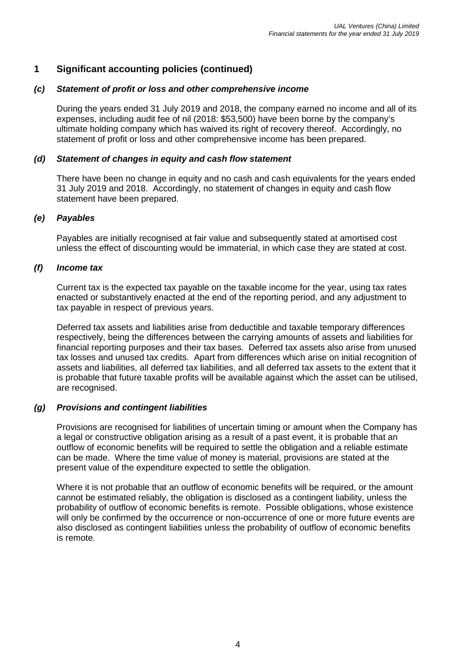# **1 Significant accounting policies (continued)**

#### *(c) Statement of profit or loss and other comprehensive income*

During the years ended 31 July 2019 and 2018, the company earned no income and all of its expenses, including audit fee of nil (2018: \$53,500) have been borne by the company's ultimate holding company which has waived its right of recovery thereof. Accordingly, no statement of profit or loss and other comprehensive income has been prepared.

#### *(d) Statement of changes in equity and cash flow statement*

There have been no change in equity and no cash and cash equivalents for the years ended 31 July 2019 and 2018. Accordingly, no statement of changes in equity and cash flow statement have been prepared.

#### *(e) Payables*

Payables are initially recognised at fair value and subsequently stated at amortised cost unless the effect of discounting would be immaterial, in which case they are stated at cost.

#### *(f) Income tax*

Current tax is the expected tax payable on the taxable income for the year, using tax rates enacted or substantively enacted at the end of the reporting period, and any adjustment to tax payable in respect of previous years.

Deferred tax assets and liabilities arise from deductible and taxable temporary differences respectively, being the differences between the carrying amounts of assets and liabilities for financial reporting purposes and their tax bases. Deferred tax assets also arise from unused tax losses and unused tax credits. Apart from differences which arise on initial recognition of assets and liabilities, all deferred tax liabilities, and all deferred tax assets to the extent that it is probable that future taxable profits will be available against which the asset can be utilised, are recognised.

#### *(g) Provisions and contingent liabilities*

Provisions are recognised for liabilities of uncertain timing or amount when the Company has a legal or constructive obligation arising as a result of a past event, it is probable that an outflow of economic benefits will be required to settle the obligation and a reliable estimate can be made. Where the time value of money is material, provisions are stated at the present value of the expenditure expected to settle the obligation.

Where it is not probable that an outflow of economic benefits will be required, or the amount cannot be estimated reliably, the obligation is disclosed as a contingent liability, unless the probability of outflow of economic benefits is remote. Possible obligations, whose existence will only be confirmed by the occurrence or non-occurrence of one or more future events are also disclosed as contingent liabilities unless the probability of outflow of economic benefits is remote.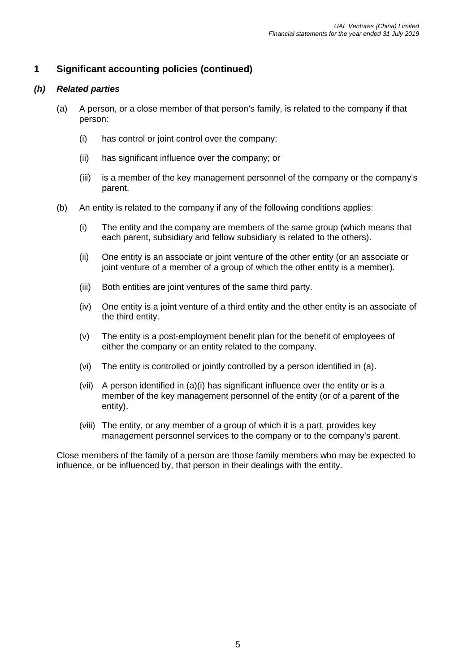# **1 Significant accounting policies (continued)**

#### *(h) Related parties*

- (a) A person, or a close member of that person's family, is related to the company if that person:
	- (i) has control or joint control over the company;
	- (ii) has significant influence over the company; or
	- (iii) is a member of the key management personnel of the company or the company's parent.
- (b) An entity is related to the company if any of the following conditions applies:
	- (i) The entity and the company are members of the same group (which means that each parent, subsidiary and fellow subsidiary is related to the others).
	- (ii) One entity is an associate or joint venture of the other entity (or an associate or joint venture of a member of a group of which the other entity is a member).
	- (iii) Both entities are joint ventures of the same third party.
	- (iv) One entity is a joint venture of a third entity and the other entity is an associate of the third entity.
	- (v) The entity is a post-employment benefit plan for the benefit of employees of either the company or an entity related to the company.
	- (vi) The entity is controlled or jointly controlled by a person identified in (a).
	- (vii) A person identified in (a)(i) has significant influence over the entity or is a member of the key management personnel of the entity (or of a parent of the entity).
	- (viii) The entity, or any member of a group of which it is a part, provides key management personnel services to the company or to the company's parent.

Close members of the family of a person are those family members who may be expected to influence, or be influenced by, that person in their dealings with the entity.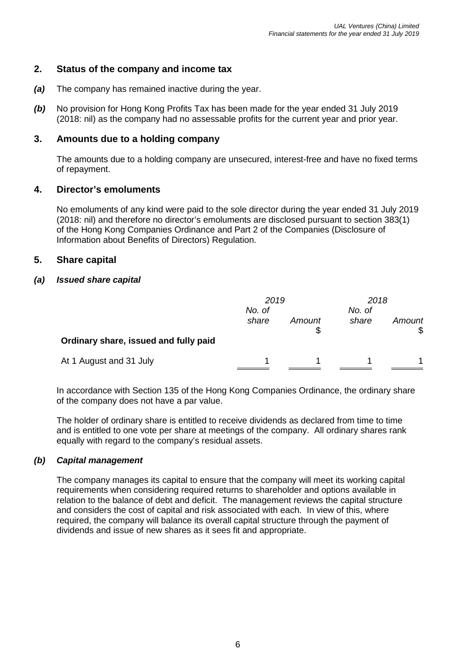## **2. Status of the company and income tax**

- *(a)* The company has remained inactive during the year.
- *(b)* No provision for Hong Kong Profits Tax has been made for the year ended 31 July 2019 (2018: nil) as the company had no assessable profits for the current year and prior year.

#### **3. Amounts due to a holding company**

The amounts due to a holding company are unsecured, interest-free and have no fixed terms of repayment.

#### **4. Director's emoluments**

No emoluments of any kind were paid to the sole director during the year ended 31 July 2019 (2018: nil) and therefore no director's emoluments are disclosed pursuant to section 383(1) of the Hong Kong Companies Ordinance and Part 2 of the Companies (Disclosure of Information about Benefits of Directors) Regulation.

#### **5. Share capital**

#### *(a) Issued share capital*

|                                       | 2019<br>No. of |        | 2018<br>No. of |        |
|---------------------------------------|----------------|--------|----------------|--------|
|                                       |                |        |                |        |
| Ordinary share, issued and fully paid | share          | Amount | share          | Amount |
| At 1 August and 31 July               |                |        |                |        |

In accordance with Section 135 of the Hong Kong Companies Ordinance, the ordinary share of the company does not have a par value.

The holder of ordinary share is entitled to receive dividends as declared from time to time and is entitled to one vote per share at meetings of the company. All ordinary shares rank equally with regard to the company's residual assets.

#### *(b) Capital management*

The company manages its capital to ensure that the company will meet its working capital requirements when considering required returns to shareholder and options available in relation to the balance of debt and deficit. The management reviews the capital structure and considers the cost of capital and risk associated with each. In view of this, where required, the company will balance its overall capital structure through the payment of dividends and issue of new shares as it sees fit and appropriate.